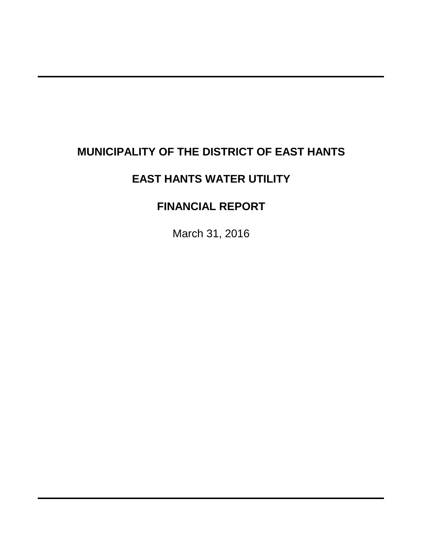# **MUNICIPALITY OF THE DISTRICT OF EAST HANTS**

# **EAST HANTS WATER UTILITY**

# **FINANCIAL REPORT**

March 31, 2016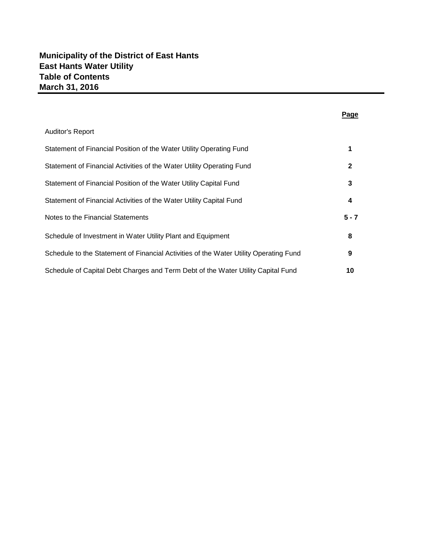| <b>Auditor's Report</b>                                                               |         |
|---------------------------------------------------------------------------------------|---------|
| Statement of Financial Position of the Water Utility Operating Fund                   |         |
| Statement of Financial Activities of the Water Utility Operating Fund                 | 2       |
| Statement of Financial Position of the Water Utility Capital Fund                     | 3       |
| Statement of Financial Activities of the Water Utility Capital Fund                   | 4       |
| Notes to the Financial Statements                                                     | $5 - 7$ |
| Schedule of Investment in Water Utility Plant and Equipment                           | 8       |
| Schedule to the Statement of Financial Activities of the Water Utility Operating Fund | 9       |
| Schedule of Capital Debt Charges and Term Debt of the Water Utility Capital Fund      | 10      |

#### **Page**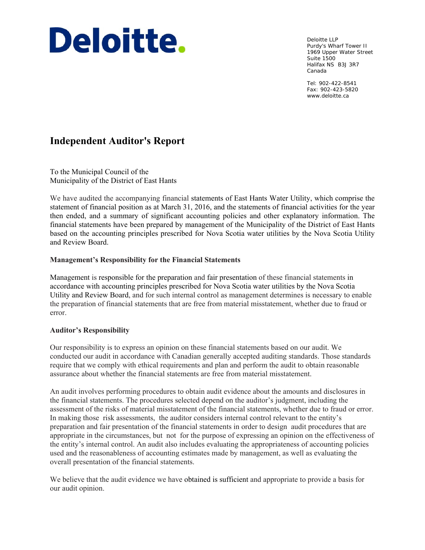# Deloitte.

Deloitte LLP Purdy's Wharf Tower II 1969 Upper Water Street Suite 1500 Halifax NS B3J 3R7 Canada

Tel: 902-422-8541 Fax: 902-423-5820 www.deloitte.ca

## **Independent Auditor's Report**

To the Municipal Council of the Municipality of the District of East Hants

We have audited the accompanying financial statements of East Hants Water Utility, which comprise the statement of financial position as at March 31, 2016, and the statements of financial activities for the year then ended, and a summary of significant accounting policies and other explanatory information. The financial statements have been prepared by management of the Municipality of the District of East Hants based on the accounting principles prescribed for Nova Scotia water utilities by the Nova Scotia Utility and Review Board.

#### **Management's Responsibility for the Financial Statements**

Management is responsible for the preparation and fair presentation of these financial statements in accordance with accounting principles prescribed for Nova Scotia water utilities by the Nova Scotia Utility and Review Board, and for such internal control as management determines is necessary to enable the preparation of financial statements that are free from material misstatement, whether due to fraud or error.

#### **Auditor's Responsibility**

Our responsibility is to express an opinion on these financial statements based on our audit. We conducted our audit in accordance with Canadian generally accepted auditing standards. Those standards require that we comply with ethical requirements and plan and perform the audit to obtain reasonable assurance about whether the financial statements are free from material misstatement.

An audit involves performing procedures to obtain audit evidence about the amounts and disclosures in the financial statements. The procedures selected depend on the auditor's judgment, including the assessment of the risks of material misstatement of the financial statements, whether due to fraud or error. In making those risk assessments, the auditor considers internal control relevant to the entity's preparation and fair presentation of the financial statements in order to design audit procedures that are appropriate in the circumstances, but not for the purpose of expressing an opinion on the effectiveness of the entity's internal control. An audit also includes evaluating the appropriateness of accounting policies used and the reasonableness of accounting estimates made by management, as well as evaluating the overall presentation of the financial statements.

We believe that the audit evidence we have obtained is sufficient and appropriate to provide a basis for our audit opinion.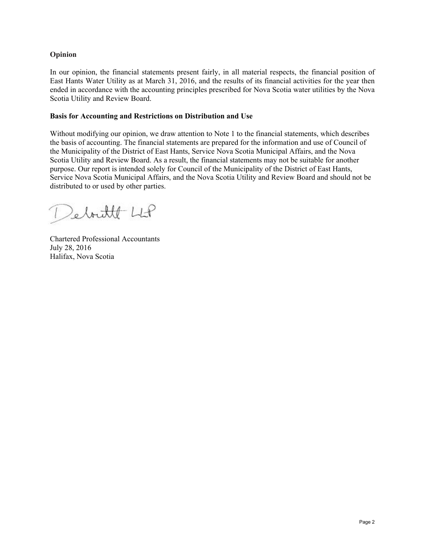#### **Opinion**

In our opinion, the financial statements present fairly, in all material respects, the financial position of East Hants Water Utility as at March 31, 2016, and the results of its financial activities for the year then ended in accordance with the accounting principles prescribed for Nova Scotia water utilities by the Nova Scotia Utility and Review Board.

#### **Basis for Accounting and Restrictions on Distribution and Use**

Without modifying our opinion, we draw attention to Note 1 to the financial statements, which describes the basis of accounting. The financial statements are prepared for the information and use of Council of the Municipality of the District of East Hants, Service Nova Scotia Municipal Affairs, and the Nova Scotia Utility and Review Board. As a result, the financial statements may not be suitable for another purpose. Our report is intended solely for Council of the Municipality of the District of East Hants, Service Nova Scotia Municipal Affairs, and the Nova Scotia Utility and Review Board and should not be distributed to or used by other parties.

Sebritt LLP

Chartered Professional Accountants July 28, 2016 Halifax, Nova Scotia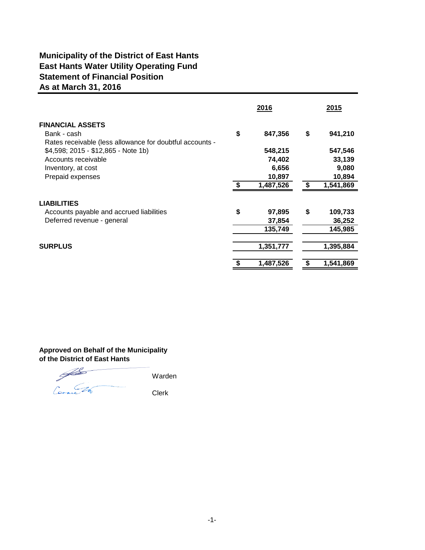## **Municipality of the District of East Hants East Hants Water Utility Operating Fund As at March 31, 2016 Statement of Financial Position**

|                                                                                                    | 2016 |                             |    | 2015                         |
|----------------------------------------------------------------------------------------------------|------|-----------------------------|----|------------------------------|
| <b>FINANCIAL ASSETS</b><br>Bank - cash<br>Rates receivable (less allowance for doubtful accounts - | \$   | 847,356                     | \$ | 941,210                      |
| \$4,598; 2015 - \$12,865 - Note 1b)<br>Accounts receivable<br>Inventory, at cost                   |      | 548,215<br>74,402<br>6,656  |    | 547,546<br>33,139<br>9,080   |
| Prepaid expenses                                                                                   |      | 10,897<br>1,487,526         |    | 10,894<br>1,541,869          |
| <b>LIABILITIES</b>                                                                                 |      |                             |    |                              |
| Accounts payable and accrued liabilities<br>Deferred revenue - general                             | \$   | 97,895<br>37,854<br>135,749 | \$ | 109,733<br>36,252<br>145,985 |
| <b>SURPLUS</b>                                                                                     |      | 1,351,777                   |    | 1,395,884                    |
|                                                                                                    |      | 1,487,526                   |    | 1,541,869                    |

#### **Approved on Behalf of the Municipality of the District of East Hants**

Warden Connes 24 Clerk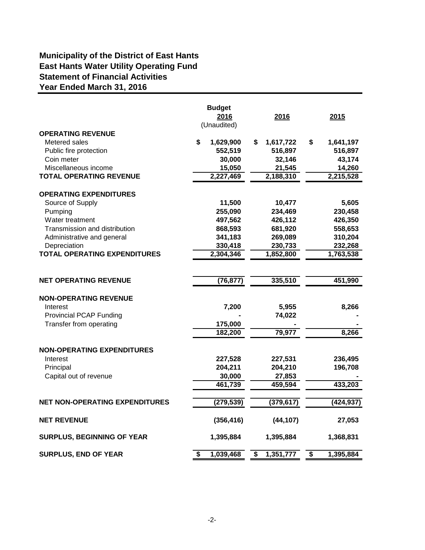## **Municipality of the District of East Hants East Hants Water Utility Operating Fund Year Ended March 31, 2016 Statement of Financial Activities**

|                                       | <b>Budget</b><br>2016<br>(Unaudited) | 2016            | 2015            |
|---------------------------------------|--------------------------------------|-----------------|-----------------|
| <b>OPERATING REVENUE</b>              |                                      |                 |                 |
| Metered sales                         | \$<br>1,629,900                      | \$<br>1,617,722 | \$<br>1,641,197 |
| Public fire protection                | 552,519                              | 516,897         | 516,897         |
| Coin meter                            | 30,000                               | 32,146          | 43,174          |
| Miscellaneous income                  | 15,050                               | 21,545          | 14,260          |
| <b>TOTAL OPERATING REVENUE</b>        | 2,227,469                            | 2,188,310       | 2,215,528       |
| <b>OPERATING EXPENDITURES</b>         |                                      |                 |                 |
| Source of Supply                      | 11,500                               | 10,477          | 5,605           |
| Pumping                               | 255,090                              | 234,469         | 230,458         |
| Water treatment                       | 497,562                              | 426,112         | 426,350         |
| Transmission and distribution         | 868,593                              | 681,920         | 558,653         |
| Administrative and general            | 341,183                              | 269,089         | 310,204         |
| Depreciation                          | 330,418                              | 230,733         | 232,268         |
| <b>TOTAL OPERATING EXPENDITURES</b>   | 2,304,346                            | 1,852,800       | 1,763,538       |
|                                       |                                      |                 |                 |
| <b>NET OPERATING REVENUE</b>          | (76, 877)                            | 335,510         | 451,990         |
| <b>NON-OPERATING REVENUE</b>          |                                      |                 |                 |
| Interest                              | 7,200                                | 5,955           | 8,266           |
| <b>Provincial PCAP Funding</b>        |                                      | 74,022          |                 |
| Transfer from operating               | 175,000                              |                 |                 |
|                                       | 182,200                              | 79,977          | 8,266           |
| <b>NON-OPERATING EXPENDITURES</b>     |                                      |                 |                 |
| Interest                              | 227,528                              | 227,531         | 236,495         |
| Principal                             | 204,211                              | 204,210         | 196,708         |
| Capital out of revenue                | 30,000                               | 27,853          |                 |
|                                       | 461,739                              | 459,594         | 433,203         |
| <b>NET NON-OPERATING EXPENDITURES</b> | (279, 539)                           | (379, 617)      | (424, 937)      |
| <b>NET REVENUE</b>                    | (356, 416)                           | (44, 107)       | 27,053          |
| <b>SURPLUS, BEGINNING OF YEAR</b>     | 1,395,884                            | 1,395,884       | 1,368,831       |
| <b>SURPLUS, END OF YEAR</b>           | \$<br>1,039,468                      | \$<br>1,351,777 | \$<br>1,395,884 |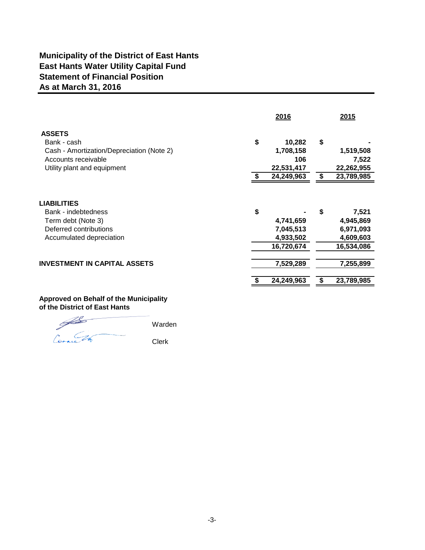## **Municipality of the District of East Hants East Hants Water Utility Capital Fund As at March 31, 2016 Statement of Financial Position**

|                                                                                                                       |    | 2016                                              |    | 2015                                                       |
|-----------------------------------------------------------------------------------------------------------------------|----|---------------------------------------------------|----|------------------------------------------------------------|
| <b>ASSETS</b>                                                                                                         |    |                                                   |    |                                                            |
| Bank - cash                                                                                                           | \$ | 10,282                                            | \$ |                                                            |
| Cash - Amortization/Depreciation (Note 2)                                                                             |    | 1,708,158                                         |    | 1,519,508                                                  |
| Accounts receivable                                                                                                   |    | 106                                               |    | 7,522                                                      |
| Utility plant and equipment                                                                                           |    | 22,531,417                                        |    | 22,262,955                                                 |
|                                                                                                                       | S  | 24,249,963                                        | S  | 23,789,985                                                 |
| <b>LIABILITIES</b><br>Bank - indebtedness<br>Term debt (Note 3)<br>Deferred contributions<br>Accumulated depreciation | \$ | 4,741,659<br>7,045,513<br>4,933,502<br>16,720,674 | \$ | 7,521<br>4,945,869<br>6,971,093<br>4,609,603<br>16,534,086 |
| <b>INVESTMENT IN CAPITAL ASSETS</b>                                                                                   |    | 7,529,289                                         |    | 7,255,899                                                  |
|                                                                                                                       |    | 24,249,963                                        | S  | 23,789,985                                                 |

#### **Approved on Behalf of the Municipality of the District of East Hants**

**Solution** Warden Connect de Clerk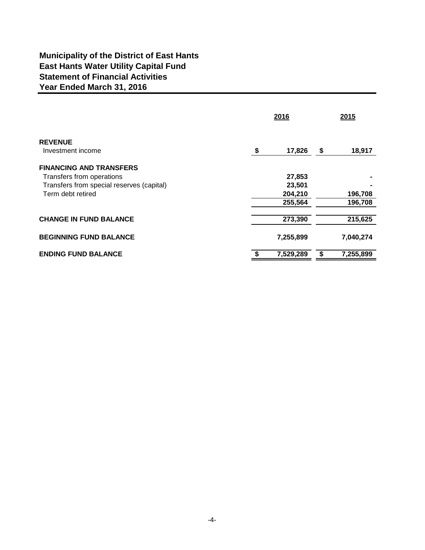## **Municipality of the District of East Hants East Hants Water Utility Capital Fund Year Ended March 31, 2016 Statement of Financial Activities**

|                                                                                                          |    | 2015               |    |                    |
|----------------------------------------------------------------------------------------------------------|----|--------------------|----|--------------------|
| <b>REVENUE</b><br>Investment income                                                                      | \$ | 17,826             | \$ | 18,917             |
| <b>FINANCING AND TRANSFERS</b><br>Transfers from operations<br>Transfers from special reserves (capital) |    | 27,853<br>23,501   |    |                    |
| Term debt retired                                                                                        |    | 204,210<br>255,564 |    | 196,708<br>196,708 |
| <b>CHANGE IN FUND BALANCE</b>                                                                            |    | 273,390            |    | 215,625            |
| <b>BEGINNING FUND BALANCE</b>                                                                            |    | 7,255,899          |    | 7,040,274          |
| <b>ENDING FUND BALANCE</b>                                                                               | -S | 7,529,289          | S  | 7,255,899          |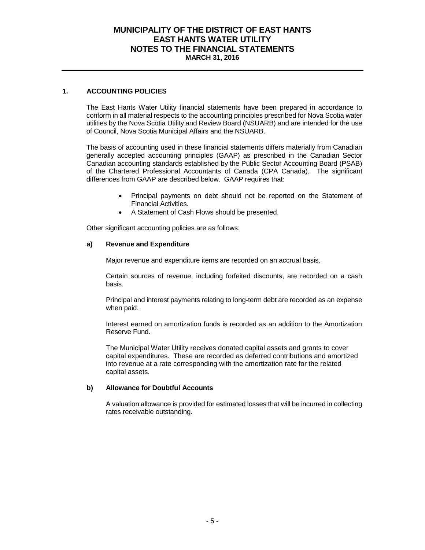#### **MUNICIPALITY OF THE DISTRICT OF EAST HANTS EAST HANTS WATER UTILITY NOTES TO THE FINANCIAL STATEMENTS MARCH 31, 2016**

#### **1. ACCOUNTING POLICIES**

The East Hants Water Utility financial statements have been prepared in accordance to conform in all material respects to the accounting principles prescribed for Nova Scotia water utilities by the Nova Scotia Utility and Review Board (NSUARB) and are intended for the use of Council, Nova Scotia Municipal Affairs and the NSUARB.

The basis of accounting used in these financial statements differs materially from Canadian generally accepted accounting principles (GAAP) as prescribed in the Canadian Sector Canadian accounting standards established by the Public Sector Accounting Board (PSAB) of the Chartered Professional Accountants of Canada (CPA Canada). The significant differences from GAAP are described below. GAAP requires that:

- Principal payments on debt should not be reported on the Statement of Financial Activities.
- A Statement of Cash Flows should be presented.

Other significant accounting policies are as follows:

#### **a) Revenue and Expenditure**

Major revenue and expenditure items are recorded on an accrual basis.

Certain sources of revenue, including forfeited discounts, are recorded on a cash basis.

Principal and interest payments relating to long-term debt are recorded as an expense when paid.

Interest earned on amortization funds is recorded as an addition to the Amortization Reserve Fund.

The Municipal Water Utility receives donated capital assets and grants to cover capital expenditures. These are recorded as deferred contributions and amortized into revenue at a rate corresponding with the amortization rate for the related capital assets.

#### **b) Allowance for Doubtful Accounts**

A valuation allowance is provided for estimated losses that will be incurred in collecting rates receivable outstanding.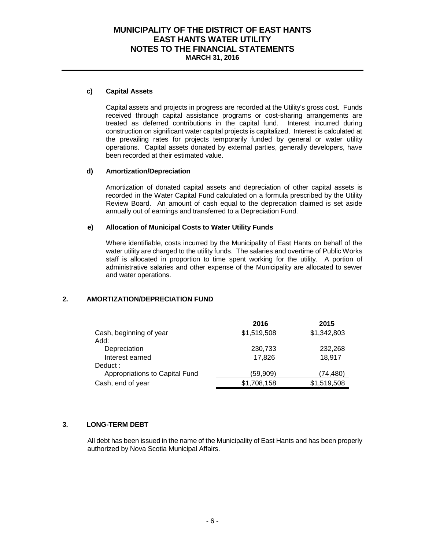#### **MUNICIPALITY OF THE DISTRICT OF EAST HANTS EAST HANTS WATER UTILITY NOTES TO THE FINANCIAL STATEMENTS MARCH 31, 2016**

#### **c) Capital Assets**

Capital assets and projects in progress are recorded at the Utility's gross cost. Funds received through capital assistance programs or cost-sharing arrangements are treated as deferred contributions in the capital fund. Interest incurred during construction on significant water capital projects is capitalized. Interest is calculated at the prevailing rates for projects temporarily funded by general or water utility operations. Capital assets donated by external parties, generally developers, have been recorded at their estimated value.

#### **d) Amortization/Depreciation**

Amortization of donated capital assets and depreciation of other capital assets is recorded in the Water Capital Fund calculated on a formula prescribed by the Utility Review Board. An amount of cash equal to the deprecation claimed is set aside annually out of earnings and transferred to a Depreciation Fund.

#### **e) Allocation of Municipal Costs to Water Utility Funds**

Where identifiable, costs incurred by the Municipality of East Hants on behalf of the water utility are charged to the utility funds. The salaries and overtime of Public Works staff is allocated in proportion to time spent working for the utility. A portion of administrative salaries and other expense of the Municipality are allocated to sewer and water operations.

#### **2. AMORTIZATION/DEPRECIATION FUND**

|                                | 2016        | 2015        |
|--------------------------------|-------------|-------------|
| Cash, beginning of year        | \$1,519,508 | \$1,342,803 |
| Add:                           |             |             |
| Depreciation                   | 230,733     | 232,268     |
| Interest earned                | 17,826      | 18,917      |
| Deduct:                        |             |             |
| Appropriations to Capital Fund | (59,909)    | (74,480)    |
| Cash, end of year              | \$1,708,158 | \$1,519,508 |

#### **3. LONG-TERM DEBT**

All debt has been issued in the name of the Municipality of East Hants and has been properly authorized by Nova Scotia Municipal Affairs.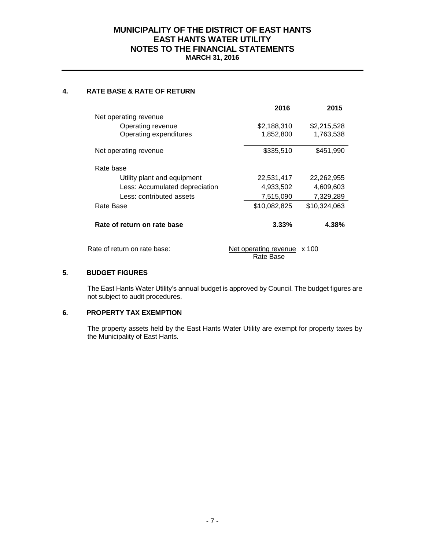#### **MUNICIPALITY OF THE DISTRICT OF EAST HANTS EAST HANTS WATER UTILITY NOTES TO THE FINANCIAL STATEMENTS MARCH 31, 2016**

#### **4. RATE BASE & RATE OF RETURN**

|                                | 2016                         | 2015         |
|--------------------------------|------------------------------|--------------|
| Net operating revenue          |                              |              |
| Operating revenue              | \$2,188,310                  | \$2,215,528  |
| Operating expenditures         | 1,852,800                    | 1,763,538    |
| Net operating revenue          | \$335,510                    | \$451,990    |
| Rate base                      |                              |              |
| Utility plant and equipment    | 22,531,417                   | 22,262,955   |
| Less: Accumulated depreciation | 4,933,502                    | 4,609,603    |
| Less: contributed assets       | 7,515,090                    | 7,329,289    |
| Rate Base                      | \$10,082,825                 | \$10,324,063 |
| Rate of return on rate base    | 3.33%                        | 4.38%        |
| Rate of return on rate base:   | <u>Net operating revenue</u> | $\times$ 100 |

Rate Base

#### **5. BUDGET FIGURES**

The East Hants Water Utility's annual budget is approved by Council. The budget figures are not subject to audit procedures.

#### **6. PROPERTY TAX EXEMPTION**

The property assets held by the East Hants Water Utility are exempt for property taxes by the Municipality of East Hants.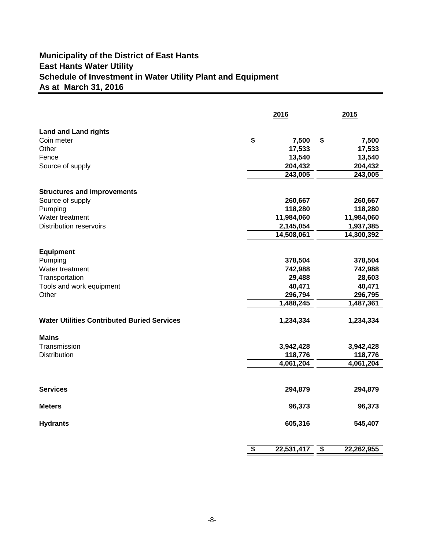## **Schedule of Investment in Water Utility Plant and Equipment Municipality of the District of East Hants East Hants Water Utility As at March 31, 2016**

|                                                    | 2016            |            |    | 2015       |  |  |
|----------------------------------------------------|-----------------|------------|----|------------|--|--|
| <b>Land and Land rights</b>                        |                 |            |    |            |  |  |
| Coin meter                                         | \$              | 7,500      | \$ | 7,500      |  |  |
| Other                                              |                 | 17,533     |    | 17,533     |  |  |
| Fence                                              |                 | 13,540     |    | 13,540     |  |  |
| Source of supply                                   |                 | 204,432    |    | 204,432    |  |  |
|                                                    |                 | 243,005    |    | 243,005    |  |  |
| <b>Structures and improvements</b>                 |                 |            |    |            |  |  |
| Source of supply                                   |                 | 260,667    |    | 260,667    |  |  |
| Pumping                                            |                 | 118,280    |    | 118,280    |  |  |
| Water treatment                                    |                 | 11,984,060 |    | 11,984,060 |  |  |
| <b>Distribution reservoirs</b>                     |                 | 2,145,054  |    | 1,937,385  |  |  |
|                                                    |                 | 14,508,061 |    | 14,300,392 |  |  |
|                                                    |                 |            |    |            |  |  |
| <b>Equipment</b>                                   |                 |            |    |            |  |  |
| Pumping                                            |                 | 378,504    |    | 378,504    |  |  |
| Water treatment                                    |                 | 742,988    |    | 742,988    |  |  |
| Transportation                                     |                 | 29,488     |    | 28,603     |  |  |
| Tools and work equipment                           |                 | 40,471     |    | 40,471     |  |  |
| Other                                              |                 | 296,794    |    | 296,795    |  |  |
|                                                    |                 | 1,488,245  |    | 1,487,361  |  |  |
| <b>Water Utilities Contributed Buried Services</b> |                 | 1,234,334  |    | 1,234,334  |  |  |
| <b>Mains</b>                                       |                 |            |    |            |  |  |
| Transmission                                       |                 | 3,942,428  |    | 3,942,428  |  |  |
| <b>Distribution</b>                                |                 | 118,776    |    | 118,776    |  |  |
|                                                    |                 | 4,061,204  |    | 4,061,204  |  |  |
|                                                    |                 |            |    |            |  |  |
| <b>Services</b>                                    |                 | 294,879    |    | 294,879    |  |  |
| <b>Meters</b>                                      |                 | 96,373     |    | 96,373     |  |  |
| <b>Hydrants</b>                                    |                 | 605,316    |    | 545,407    |  |  |
|                                                    | $\overline{\$}$ | 22,531,417 | \$ | 22,262,955 |  |  |
|                                                    |                 |            |    |            |  |  |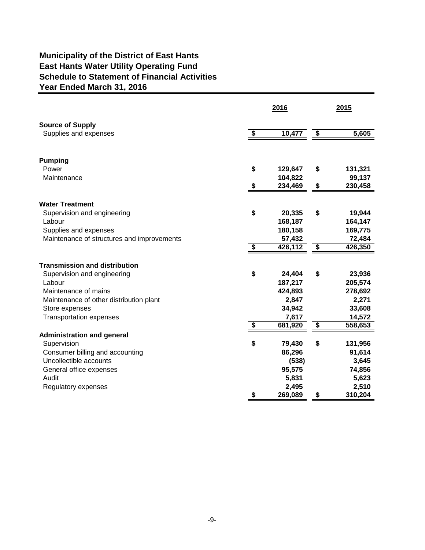## **Municipality of the District of East Hants East Hants Water Utility Operating Fund Schedule to Statement of Financial Activities Year Ended March 31, 2016**

|                                            |    | 2016    | 2015                                 |         |  |
|--------------------------------------------|----|---------|--------------------------------------|---------|--|
| <b>Source of Supply</b>                    |    |         |                                      |         |  |
| Supplies and expenses                      | \$ | 10,477  | $\sqrt[6]{3}$                        | 5,605   |  |
| <b>Pumping</b>                             |    |         |                                      |         |  |
| Power                                      | \$ | 129,647 | \$                                   | 131,321 |  |
| Maintenance                                |    | 104,822 |                                      | 99,137  |  |
|                                            | \$ | 234,469 | \$                                   | 230,458 |  |
| <b>Water Treatment</b>                     |    |         |                                      |         |  |
| Supervision and engineering                | \$ | 20,335  | \$                                   | 19,944  |  |
| Labour                                     |    | 168,187 |                                      | 164,147 |  |
| Supplies and expenses                      |    | 180,158 |                                      | 169,775 |  |
| Maintenance of structures and improvements |    | 57,432  |                                      | 72,484  |  |
|                                            | S  | 426,112 | \$                                   | 426,350 |  |
| <b>Transmission and distribution</b>       |    |         |                                      |         |  |
| Supervision and engineering                | \$ | 24,404  | \$                                   | 23,936  |  |
| Labour                                     |    | 187,217 |                                      | 205,574 |  |
| Maintenance of mains                       |    | 424,893 |                                      | 278,692 |  |
| Maintenance of other distribution plant    |    | 2,847   |                                      | 2,271   |  |
| Store expenses                             |    | 34,942  |                                      | 33,608  |  |
| <b>Transportation expenses</b>             |    | 7,617   |                                      | 14,572  |  |
|                                            | \$ | 681,920 | \$                                   | 558,653 |  |
| <b>Administration and general</b>          |    |         |                                      |         |  |
| Supervision                                | \$ | 79,430  | \$                                   | 131,956 |  |
| Consumer billing and accounting            |    | 86,296  |                                      | 91,614  |  |
| Uncollectible accounts                     |    | (538)   |                                      | 3,645   |  |
| General office expenses                    |    | 95,575  |                                      | 74,856  |  |
| Audit                                      |    | 5,831   |                                      | 5,623   |  |
| Regulatory expenses                        |    | 2,495   |                                      | 2,510   |  |
|                                            | \$ | 269,089 | $\overline{\boldsymbol{\mathsf{s}}}$ | 310,204 |  |